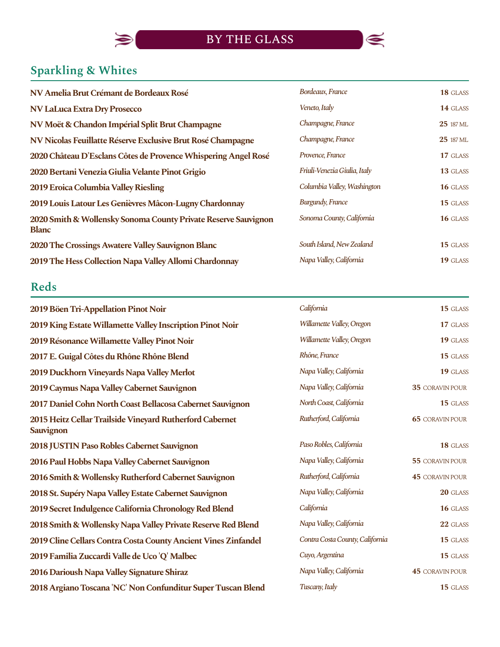

# **Sparkling & Whites**

 $\blacklozenge$ 

| NV Amelia Brut Crémant de Bordeaux Rosé                                        | Bordeaux, France             | 18 GLASS         |
|--------------------------------------------------------------------------------|------------------------------|------------------|
| <b>NV LaLuca Extra Dry Prosecco</b>                                            | Veneto, Italy                | 14 GLASS         |
| NV Moët & Chandon Impérial Split Brut Champagne                                | Champagne, France            | 25 187 ML        |
| NV Nicolas Feuillatte Réserve Exclusive Brut Rosé Champagne                    | Champagne, France            | <b>25</b> 187 ML |
| 2020 Château D'Esclans Côtes de Provence Whispering Angel Rosé                 | Provence, France             | 17 GLASS         |
| 2020 Bertani Venezia Giulia Velante Pinot Grigio                               | Friuli-Venezia Giulia, Italy | 13 GLASS         |
| 2019 Eroica Columbia Valley Riesling                                           | Columbia Valley, Washington  | 16 GLASS         |
| 2019 Louis Latour Les Genièvres Mâcon-Lugny Chardonnay                         | <b>Burgundy, France</b>      | 15 GLASS         |
| 2020 Smith & Wollensky Sonoma County Private Reserve Sauvignon<br><b>Blanc</b> | Sonoma County, California    | 16 GLASS         |
| 2020 The Crossings Awatere Valley Sauvignon Blanc                              | South Island, New Zealand    | 15 GLASS         |
| 2019 The Hess Collection Napa Valley Allomi Chardonnay                         | Napa Valley, California      | 19 GLASS         |

# **Reds**

| 2019 Böen Tri-Appellation Pinot Noir                                         | California                      | 15 GLASS               |
|------------------------------------------------------------------------------|---------------------------------|------------------------|
| 2019 King Estate Willamette Valley Inscription Pinot Noir                    | Willamette Valley, Oregon       | 17 GLASS               |
| 2019 Résonance Willamette Valley Pinot Noir                                  | Willamette Valley, Oregon       | 19 GLASS               |
| 2017 E. Guigal Côtes du Rhône Rhône Blend                                    | Rhône, France                   | 15 GLASS               |
| 2019 Duckhorn Vineyards Napa Valley Merlot                                   | Napa Valley, California         | 19 GLASS               |
| 2019 Caymus Napa Valley Cabernet Sauvignon                                   | Napa Valley, California         | 35 CORAVIN POUR        |
| 2017 Daniel Cohn North Coast Bellacosa Cabernet Sauvignon                    | North Coast, California         | 15 GLASS               |
| 2015 Heitz Cellar Trailside Vineyard Rutherford Cabernet<br><b>Sauvignon</b> | Rutherford, California          | <b>65 CORAVIN POUR</b> |
| 2018 JUSTIN Paso Robles Cabernet Sauvignon                                   | Paso Robles, California         | 18 GLASS               |
| 2016 Paul Hobbs Napa Valley Cabernet Sauvignon                               | Napa Valley, California         | 55 CORAVIN POUR        |
| 2016 Smith & Wollensky Rutherford Cabernet Sauvignon                         | Rutherford, California          | <b>45 CORAVIN POUR</b> |
| 2018 St. Supéry Napa Valley Estate Cabernet Sauvignon                        | Napa Valley, California         | 20 GLASS               |
| 2019 Secret Indulgence California Chronology Red Blend                       | California                      | 16 GLASS               |
| 2018 Smith & Wollensky Napa Valley Private Reserve Red Blend                 | Napa Valley, California         | 22 GLASS               |
| 2019 Cline Cellars Contra Costa County Ancient Vines Zinfandel               | Contra Costa County, California | 15 GLASS               |
| 2019 Familia Zuccardi Valle de Uco 'Q' Malbec                                | Cuyo, Argentina                 | 15 GLASS               |
| 2016 Darioush Napa Valley Signature Shiraz                                   | Napa Valley, California         | <b>45 CORAVIN POUR</b> |
| 2018 Argiano Toscana 'NC' Non Confunditur Super Tuscan Blend                 | Tuscany, Italy                  | 15 GLASS               |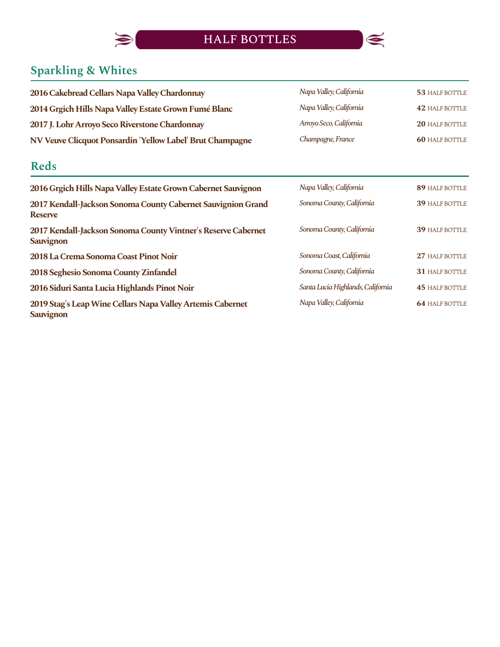

# **Sparkling & Whites**

 $\blacklozenge$ 

| 2016 Cakebread Cellars Napa Valley Chardonnay             | Napa Valley, California | 53 HALF BOTTLE        |
|-----------------------------------------------------------|-------------------------|-----------------------|
| 2014 Grgich Hills Napa Valley Estate Grown Fumé Blanc     | Napa Valley, California | <b>42 HALF BOTTLE</b> |
| 2017 J. Lohr Arroyo Seco Riverstone Chardonnay            | Arroyo Seco, California | <b>20 HALF BOTTLE</b> |
| NV Veuve Clicquot Ponsardin 'Yellow Label' Brut Champagne | Champagne, France       | <b>60 HALF BOTTLE</b> |

## **Reds**

| 2016 Grgich Hills Napa Valley Estate Grown Cabernet Sauvignon                     | Napa Valley, California           | 89 HALF BOTTLE        |
|-----------------------------------------------------------------------------------|-----------------------------------|-----------------------|
| 2017 Kendall-Jackson Sonoma County Cabernet Sauvignion Grand<br><b>Reserve</b>    | Sonoma County, California         | <b>39 HALF BOTTLE</b> |
| 2017 Kendall-Jackson Sonoma County Vintner's Reserve Cabernet<br><b>Sauvignon</b> | Sonoma County, California         | <b>39 HALF BOTTLE</b> |
| 2018 La Crema Sonoma Coast Pinot Noir                                             | Sonoma Coast, California          | 27 HALF BOTTLE        |
| 2018 Seghesio Sonoma County Zinfandel                                             | Sonoma County, California         | <b>31 HALF BOTTLE</b> |
| 2016 Siduri Santa Lucia Highlands Pinot Noir                                      | Santa Lucia Highlands, California | <b>45 HALF BOTTLE</b> |
| 2019 Stag's Leap Wine Cellars Napa Valley Artemis Cabernet<br><b>Sauvignon</b>    | Napa Valley, California           | <b>64 HALF BOTTLE</b> |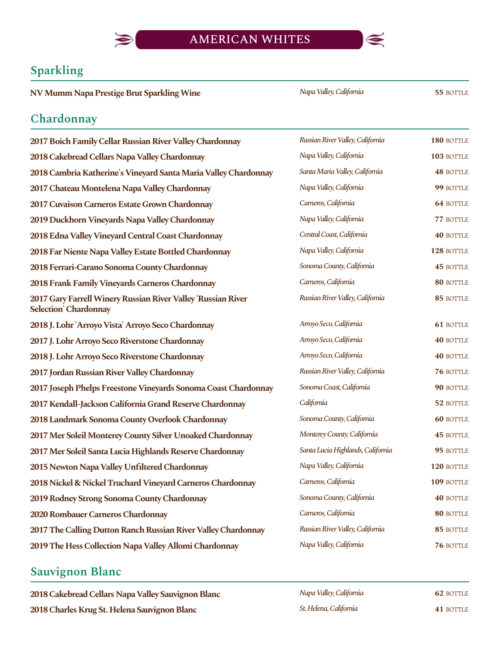

#### **Sparkling**

**NV Mumm Napa Prestige Brut Sparkling Wine 1988** *Napa Valley, California* **55 BOTTLE** 

*NapaValley,California*

#### **Chardonnay**

| 2017 Boich Family Cellar Russian River Valley Chardonnay                                     | Russian River Valley, California  | 180 BOTTLE       |
|----------------------------------------------------------------------------------------------|-----------------------------------|------------------|
| 2018 Cakebread Cellars Napa Valley Chardonnay                                                | Napa Valley, California           | 103 BOTTLE       |
| 2018 Cambria Katherine's Vineyard Santa Maria Valley Chardonnay                              | Santa Maria Valley, California    | <b>48 BOTTLE</b> |
| 2017 Chateau Montelena Napa Valley Chardonnay                                                | Napa Valley, California           | 99 BOTTLE        |
| 2017 Cuvaison Carneros Estate Grown Chardonnay                                               | Carneros, California              | <b>64 BOTTLE</b> |
| 2019 Duckhorn Vineyards Napa Valley Chardonnay                                               | Napa Valley, California           | 77 BOTTLE        |
| 2018 Edna Valley Vineyard Central Coast Chardonnay                                           | Central Coast, California         | <b>40 BOTTLE</b> |
| 2018 Far Niente Napa Valley Estate Bottled Chardonnay                                        | Napa Valley, California           | 128 BOTTLE       |
| 2018 Ferrari-Carano Sonoma County Chardonnay                                                 | Sonoma County, California         | <b>45 BOTTLE</b> |
| 2018 Frank Family Vineyards Carneros Chardonnay                                              | Carneros, California              | 80 BOTTLE        |
| 2017 Gary Farrell Winery Russian River Valley 'Russian River<br><b>Selection' Chardonnay</b> | Russian River Valley, California  | 85 BOTTLE        |
| 2018 J. Lohr 'Arroyo Vista' Arroyo Seco Chardonnay                                           | Arroyo Seco, California           | <b>61 BOTTLE</b> |
| 2017 J. Lohr Arroyo Seco Riverstone Chardonnay                                               | Arroyo Seco, California           | <b>40 BOTTLE</b> |
| 2018 J. Lohr Arroyo Seco Riverstone Chardonnay                                               | Arroyo Seco, California           | <b>40 BOTTLE</b> |
| 2017 Jordan Russian River Valley Chardonnay                                                  | Russian River Valley, California  | 76 BOTTLE        |
| 2017 Joseph Phelps Freestone Vineyards Sonoma Coast Chardonnay                               | Sonoma Coast, California          | 90 BOTTLE        |
| 2017 Kendall-Jackson California Grand Reserve Chardonnay                                     | California                        | 52 BOTTLE        |
| 2018 Landmark Sonoma County Overlook Chardonnay                                              | Sonoma County, California         | <b>60 BOTTLE</b> |
| 2017 Mer Soleil Monterey County Silver Unoaked Chardonnay                                    | Monterey County, California       | <b>45 BOTTLE</b> |
| 2017 Mer Soleil Santa Lucia Highlands Reserve Chardonnay                                     | Santa Lucia Highlands, California | 95 BOTTLE        |
| 2015 Newton Napa Valley Unfiltered Chardonnay                                                | Napa Valley, California           | 120 BOTTLE       |
| 2018 Nickel & Nickel Truchard Vineyard Carneros Chardonnay                                   | Carneros, California              | 109 BOTTLE       |
| 2019 Rodney Strong Sonoma County Chardonnay                                                  | Sonoma County, California         | <b>40 BOTTLE</b> |
| 2020 Rombauer Carneros Chardonnay                                                            | Carneros, California              | 80 BOTTLE        |
| 2017 The Calling Dutton Ranch Russian River Valley Chardonnay                                | Russian River Valley, California  | 85 BOTTLE        |
| 2019 The Hess Collection Napa Valley Allomi Chardonnay                                       | Napa Valley, California           | 76 BOTTLE        |

#### **Sauvignon Blanc**

**2018 Cakebread Cellars Napa Valley Sauvignon Blanc 2018 Charles Krug St. Helena Sauvignon Blanc** 

| Napa Valley, California | 62 BOTTLE |
|-------------------------|-----------|
| St. Helena, California  | 41 BOTTLE |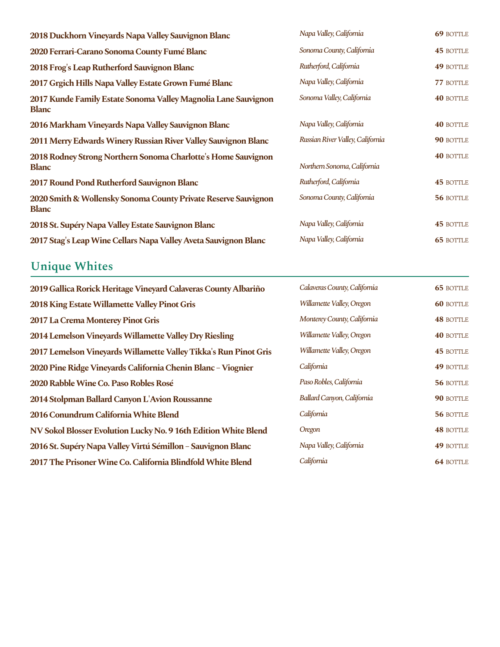| Napa Valley, California          | 69 BOTTLE        |
|----------------------------------|------------------|
| Sonoma County, California        | <b>45 BOTTLE</b> |
| Rutherford, California           | <b>49 BOTTLE</b> |
| Napa Valley, California          | 77 BOTTLE        |
| Sonoma Valley, California        | <b>40 BOTTLE</b> |
| Napa Valley, California          | <b>40 BOTTLE</b> |
| Russian River Valley, California | 90 BOTTLE        |
| Northern Sonoma, California      | <b>40 BOTTLE</b> |
| Rutherford, California           | <b>45 BOTTLE</b> |
| Sonoma County, California        | 56 BOTTLE        |
| Napa Valley, California          | <b>45 BOTTLE</b> |
| Napa Valley, California          | <b>65 BOTTLE</b> |
|                                  |                  |

# **Unique Whites**

| 2019 Gallica Rorick Heritage Vineyard Calaveras County Albariño  | Calaveras County, California | <b>65 BOTTLE</b> |
|------------------------------------------------------------------|------------------------------|------------------|
| <b>2018 King Estate Willamette Valley Pinot Gris</b>             | Willamette Valley, Oregon    | <b>60 BOTTLE</b> |
| 2017 La Crema Monterey Pinot Gris                                | Monterey County, California  | <b>48 BOTTLE</b> |
| 2014 Lemelson Vineyards Willamette Valley Dry Riesling           | Willamette Valley, Oregon    | <b>40 BOTTLE</b> |
| 2017 Lemelson Vineyards Willamette Valley Tikka's Run Pinot Gris | Willamette Valley, Oregon    | <b>45 BOTTLE</b> |
| 2020 Pine Ridge Vineyards California Chenin Blanc - Viognier     | California                   | 49 BOTTLE        |
| 2020 Rabble Wine Co. Paso Robles Rosé                            | Paso Robles, California      | 56 BOTTLE        |
| 2014 Stolpman Ballard Canyon L'Avion Roussanne                   | Ballard Canyon, California   | 90 BOTTLE        |
| 2016 Conundrum California White Blend                            | California                   | 56 BOTTLE        |
| NV Sokol Blosser Evolution Lucky No. 9 16th Edition White Blend  | Oregon                       | <b>48 BOTTLE</b> |
| 2016 St. Supéry Napa Valley Virtú Sémillon - Sauvignon Blanc     | Napa Valley, California      | 49 BOTTLE        |
| 2017 The Prisoner Wine Co. California Blindfold White Blend      | California                   | <b>64 BOTTLE</b> |

| Calaveras County, California | <b>65 BOTTLE</b> |
|------------------------------|------------------|
| Willamette Valley, Oregon    | <b>60 BOTTLE</b> |
| Monterey County, California  | <b>48 BOTTLE</b> |
| Willamette Valley, Oregon    | <b>40 BOTTLE</b> |
| Willamette Valley, Oregon    | <b>45 BOTTLE</b> |
| California                   | <b>49 BOTTLE</b> |
| Paso Robles, California      | 56 BOTTLE        |
| Ballard Canyon, California   | 90 BOTTLE        |
| California                   | 56 BOTTLE        |
| Oregon                       | <b>48 BOTTLE</b> |
| Napa Valley, California      | <b>49 BOTTLE</b> |
| California                   | 64 BOTTLE        |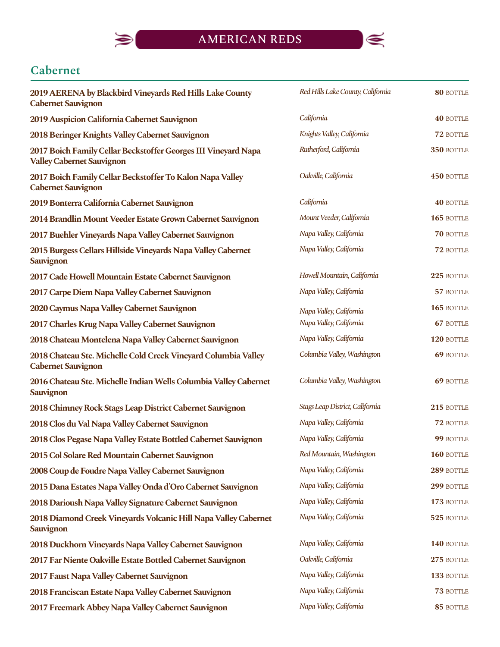

### **Cabernet**

 $\blacktriangleright$ 

| 2019 AERENA by Blackbird Vineyards Red Hills Lake County<br><b>Cabernet Sauvignon</b>              | Red Hills Lake County, California | 80 BOTTLE        |
|----------------------------------------------------------------------------------------------------|-----------------------------------|------------------|
| 2019 Auspicion California Cabernet Sauvignon                                                       | California                        | <b>40 BOTTLE</b> |
| 2018 Beringer Knights Valley Cabernet Sauvignon                                                    | Knights Valley, California        | 72 BOTTLE        |
| 2017 Boich Family Cellar Beckstoffer Georges III Vineyard Napa<br><b>Valley Cabernet Sauvignon</b> | Rutherford, California            | 350 BOTTLE       |
| 2017 Boich Family Cellar Beckstoffer To Kalon Napa Valley<br><b>Cabernet Sauvignon</b>             | Oakville, California              | 450 BOTTLE       |
| 2019 Bonterra California Cabernet Sauvignon                                                        | California                        | <b>40 BOTTLE</b> |
| 2014 Brandlin Mount Veeder Estate Grown Cabernet Sauvignon                                         | Mount Veeder, California          | 165 BOTTLE       |
| 2017 Buehler Vineyards Napa Valley Cabernet Sauvignon                                              | Napa Valley, California           | 70 BOTTLE        |
| 2015 Burgess Cellars Hillside Vineyards Napa Valley Cabernet<br>Sauvignon                          | Napa Valley, California           | 72 BOTTLE        |
| 2017 Cade Howell Mountain Estate Cabernet Sauvignon                                                | Howell Mountain, California       | 225 BOTTLE       |
| 2017 Carpe Diem Napa Valley Cabernet Sauvignon                                                     | Napa Valley, California           | 57 BOTTLE        |
| 2020 Caymus Napa Valley Cabernet Sauvignon                                                         | Napa Valley, California           | 165 BOTTLE       |
| 2017 Charles Krug Napa Valley Cabernet Sauvignon                                                   | Napa Valley, California           | 67 BOTTLE        |
| 2018 Chateau Montelena Napa Valley Cabernet Sauvignon                                              | Napa Valley, California           | 120 BOTTLE       |
| 2018 Chateau Ste. Michelle Cold Creek Vineyard Columbia Valley<br><b>Cabernet Sauvignon</b>        | Columbia Valley, Washington       | <b>69 BOTTLE</b> |
| 2016 Chateau Ste. Michelle Indian Wells Columbia Valley Cabernet<br><b>Sauvignon</b>               | Columbia Valley, Washington       | 69 BOTTLE        |
| 2018 Chimney Rock Stags Leap District Cabernet Sauvignon                                           | Stags Leap District, California   | 215 BOTTLE       |
| 2018 Clos du Val Napa Valley Cabernet Sauvignon                                                    | Napa Valley, California           | 72 BOTTLE        |
| 2018 Clos Pegase Napa Valley Estate Bottled Cabernet Sauvignon                                     | Napa Valley, California           | 99 BOTTLE        |
| 2015 Col Solare Red Mountain Cabernet Sauvignon                                                    | Red Mountain, Washington          | 160 BOTTLE       |
| 2008 Coup de Foudre Napa Valley Cabernet Sauvignon                                                 | Napa Valley, California           | 289 BOTTLE       |
| 2015 Dana Estates Napa Valley Onda d'Oro Cabernet Sauvignon                                        | Napa Valley, California           | 299 BOTTLE       |
| 2018 Darioush Napa Valley Signature Cabernet Sauvignon                                             | Napa Valley, California           | 173 BOTTLE       |
| 2018 Diamond Creek Vineyards Volcanic Hill Napa Valley Cabernet<br><b>Sauvignon</b>                | Napa Valley, California           | 525 BOTTLE       |
| 2018 Duckhorn Vineyards Napa Valley Cabernet Sauvignon                                             | Napa Valley, California           | 140 BOTTLE       |
| 2017 Far Niente Oakville Estate Bottled Cabernet Sauvignon                                         | Oakville, California              | 275 BOTTLE       |
| 2017 Faust Napa Valley Cabernet Sauvignon                                                          | Napa Valley, California           | 133 BOTTLE       |
| 2018 Franciscan Estate Napa Valley Cabernet Sauvignon                                              | Napa Valley, California           | 73 BOTTLE        |
| 2017 Freemark Abbey Napa Valley Cabernet Sauvignon                                                 | Napa Valley, California           | 85 BOTTLE        |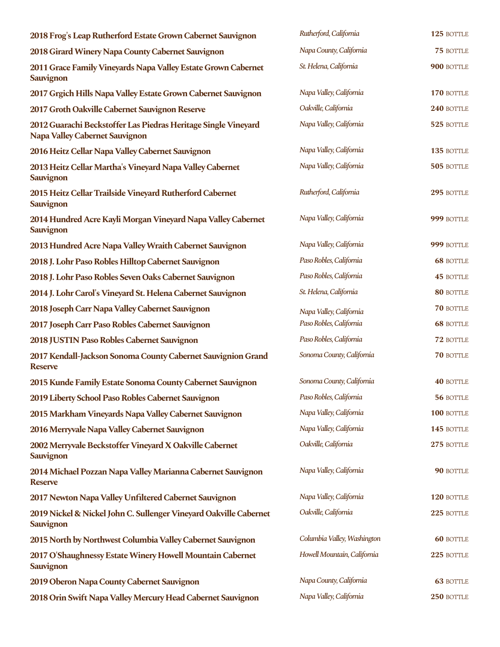| 2018 Frog's Leap Rutherford Estate Grown Cabernet Sauvignon                                             | Rutherford, California      | 125 BOTTLE       |
|---------------------------------------------------------------------------------------------------------|-----------------------------|------------------|
| 2018 Girard Winery Napa County Cabernet Sauvignon                                                       | Napa County, California     | 75 BOTTLE        |
| 2011 Grace Family Vineyards Napa Valley Estate Grown Cabernet<br>Sauvignon                              | St. Helena, California      | 900 BOTTLE       |
| 2017 Grgich Hills Napa Valley Estate Grown Cabernet Sauvignon                                           | Napa Valley, California     | 170 BOTTLE       |
| 2017 Groth Oakville Cabernet Sauvignon Reserve                                                          | Oakville, California        | 240 BOTTLE       |
| 2012 Guarachi Beckstoffer Las Piedras Heritage Single Vineyard<br><b>Napa Valley Cabernet Sauvignon</b> | Napa Valley, California     | 525 BOTTLE       |
| 2016 Heitz Cellar Napa Valley Cabernet Sauvignon                                                        | Napa Valley, California     | 135 BOTTLE       |
| 2013 Heitz Cellar Martha's Vineyard Napa Valley Cabernet<br><b>Sauvignon</b>                            | Napa Valley, California     | 505 BOTTLE       |
| 2015 Heitz Cellar Trailside Vineyard Rutherford Cabernet<br>Sauvignon                                   | Rutherford, California      | 295 BOTTLE       |
| 2014 Hundred Acre Kayli Morgan Vineyard Napa Valley Cabernet<br>Sauvignon                               | Napa Valley, California     | 999 BOTTLE       |
| 2013 Hundred Acre Napa Valley Wraith Cabernet Sauvignon                                                 | Napa Valley, California     | 999 BOTTLE       |
| 2018 J. Lohr Paso Robles Hilltop Cabernet Sauvignon                                                     | Paso Robles, California     | <b>68 BOTTLE</b> |
| 2018 J. Lohr Paso Robles Seven Oaks Cabernet Sauvignon                                                  | Paso Robles, California     | <b>45 BOTTLE</b> |
| 2014 J. Lohr Carol's Vineyard St. Helena Cabernet Sauvignon                                             | St. Helena, California      | 80 BOTTLE        |
| 2018 Joseph Carr Napa Valley Cabernet Sauvignon                                                         | Napa Valley, California     | 70 BOTTLE        |
| 2017 Joseph Carr Paso Robles Cabernet Sauvignon                                                         | Paso Robles, California     | <b>68 BOTTLE</b> |
| 2018 JUSTIN Paso Robles Cabernet Sauvignon                                                              | Paso Robles, California     | 72 BOTTLE        |
| 2017 Kendall-Jackson Sonoma County Cabernet Sauvignion Grand<br><b>Reserve</b>                          | Sonoma County, California   | <b>70 BOTTLE</b> |
| 2015 Kunde Family Estate Sonoma County Cabernet Sauvignon                                               | Sonoma County, California   | <b>40 BOTTLE</b> |
| 2019 Liberty School Paso Robles Cabernet Sauvignon                                                      | Paso Robles, California     | 56 BOTTLE        |
| 2015 Markham Vineyards Napa Valley Cabernet Sauvignon                                                   | Napa Valley, California     | 100 BOTTLE       |
| 2016 Merryvale Napa Valley Cabernet Sauvignon                                                           | Napa Valley, California     | 145 BOTTLE       |
| 2002 Merryvale Beckstoffer Vineyard X Oakville Cabernet<br>Sauvignon                                    | Oakville, California        | 275 BOTTLE       |
| 2014 Michael Pozzan Napa Valley Marianna Cabernet Sauvignon<br><b>Reserve</b>                           | Napa Valley, California     | 90 BOTTLE        |
| 2017 Newton Napa Valley Unfiltered Cabernet Sauvignon                                                   | Napa Valley, California     | 120 BOTTLE       |
| 2019 Nickel & Nickel John C. Sullenger Vineyard Oakville Cabernet<br>Sauvignon                          | Oakville, California        | 225 BOTTLE       |
| 2015 North by Northwest Columbia Valley Cabernet Sauvignon                                              | Columbia Valley, Washington | <b>60 BOTTLE</b> |
| 2017 O'Shaughnessy Estate Winery Howell Mountain Cabernet<br>Sauvignon                                  | Howell Mountain, California | 225 BOTTLE       |
| 2019 Oberon Napa County Cabernet Sauvignon                                                              | Napa County, California     | <b>63 BOTTLE</b> |
| 2018 Orin Swift Napa Valley Mercury Head Cabernet Sauvignon                                             | Napa Valley, California     | 250 BOTTLE       |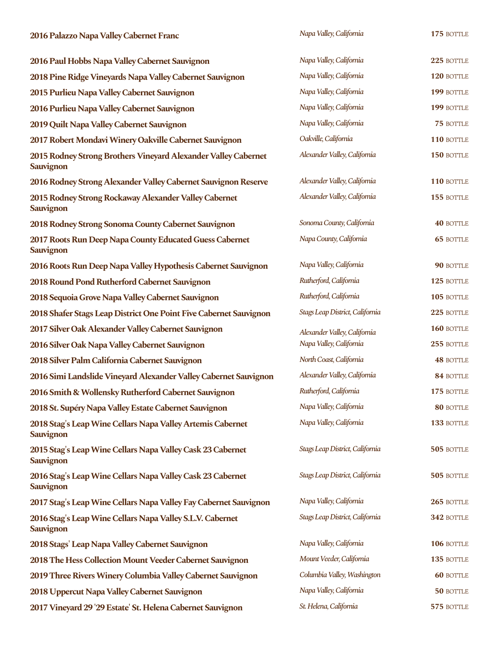| 2016 Palazzo Napa Valley Cabernet Franc                                     | Napa Valley, California         | 175 BOTTLE       |
|-----------------------------------------------------------------------------|---------------------------------|------------------|
| 2016 Paul Hobbs Napa Valley Cabernet Sauvignon                              | Napa Valley, California         | 225 BOTTLE       |
| 2018 Pine Ridge Vineyards Napa Valley Cabernet Sauvignon                    | Napa Valley, California         | 120 BOTTLE       |
| 2015 Purlieu Napa Valley Cabernet Sauvignon                                 | Napa Valley, California         | 199 BOTTLE       |
| 2016 Purlieu Napa Valley Cabernet Sauvignon                                 | Napa Valley, California         | 199 BOTTLE       |
| 2019 Quilt Napa Valley Cabernet Sauvignon                                   | Napa Valley, California         | 75 BOTTLE        |
| 2017 Robert Mondavi Winery Oakville Cabernet Sauvignon                      | Oakville, California            | 110 BOTTLE       |
| 2015 Rodney Strong Brothers Vineyard Alexander Valley Cabernet<br>Sauvignon | Alexander Valley, California    | 150 BOTTLE       |
| 2016 Rodney Strong Alexander Valley Cabernet Sauvignon Reserve              | Alexander Valley, California    | 110 BOTTLE       |
| 2015 Rodney Strong Rockaway Alexander Valley Cabernet<br><b>Sauvignon</b>   | Alexander Valley, California    | 155 BOTTLE       |
| 2018 Rodney Strong Sonoma County Cabernet Sauvignon                         | Sonoma County, California       | <b>40 BOTTLE</b> |
| 2017 Roots Run Deep Napa County Educated Guess Cabernet<br><b>Sauvignon</b> | Napa County, California         | <b>65 BOTTLE</b> |
| 2016 Roots Run Deep Napa Valley Hypothesis Cabernet Sauvignon               | Napa Valley, California         | 90 BOTTLE        |
| 2018 Round Pond Rutherford Cabernet Sauvignon                               | Rutherford, California          | 125 BOTTLE       |
| 2018 Sequoia Grove Napa Valley Cabernet Sauvignon                           | Rutherford, California          | 105 BOTTLE       |
| 2018 Shafer Stags Leap District One Point Five Cabernet Sauvignon           | Stags Leap District, California | 225 BOTTLE       |
| 2017 Silver Oak Alexander Valley Cabernet Sauvignon                         | Alexander Valley, California    | 160 BOTTLE       |
| 2016 Silver Oak Napa Valley Cabernet Sauvignon                              | Napa Valley, California         | 255 BOTTLE       |
| 2018 Silver Palm California Cabernet Sauvignon                              | North Coast, California         | <b>48 BOTTLE</b> |
| 2016 Simi Landslide Vineyard Alexander Valley Cabernet Sauvignon            | Alexander Valley, California    | 84 BOTTLE        |
| 2016 Smith & Wollensky Rutherford Cabernet Sauvignon                        | Rutherford, California          | 175 BOTTLE       |
| 2018 St. Supéry Napa Valley Estate Cabernet Sauvignon                       | Napa Valley, California         | 80 BOTTLE        |
| 2018 Stag's Leap Wine Cellars Napa Valley Artemis Cabernet<br>Sauvignon     | Napa Valley, California         | 133 BOTTLE       |
| 2015 Stag's Leap Wine Cellars Napa Valley Cask 23 Cabernet<br>Sauvignon     | Stags Leap District, California | 505 BOTTLE       |
| 2016 Stag's Leap Wine Cellars Napa Valley Cask 23 Cabernet<br>Sauvignon     | Stags Leap District, California | 505 BOTTLE       |
| 2017 Stag's Leap Wine Cellars Napa Valley Fay Cabernet Sauvignon            | Napa Valley, California         | 265 BOTTLE       |
| 2016 Stag's Leap Wine Cellars Napa Valley S.L.V. Cabernet<br>Sauvignon      | Stags Leap District, California | 342 BOTTLE       |
| 2018 Stags' Leap Napa Valley Cabernet Sauvignon                             | Napa Valley, California         | 106 BOTTLE       |
| 2018 The Hess Collection Mount Veeder Cabernet Sauvignon                    | Mount Veeder, California        | 135 BOTTLE       |
| 2019 Three Rivers Winery Columbia Valley Cabernet Sauvignon                 | Columbia Valley, Washington     | <b>60 BOTTLE</b> |
| 2018 Uppercut Napa Valley Cabernet Sauvignon                                | Napa Valley, California         | 50 BOTTLE        |
| 2017 Vineyard 29 '29 Estate' St. Helena Cabernet Sauvignon                  | St. Helena, California          | 575 BOTTLE       |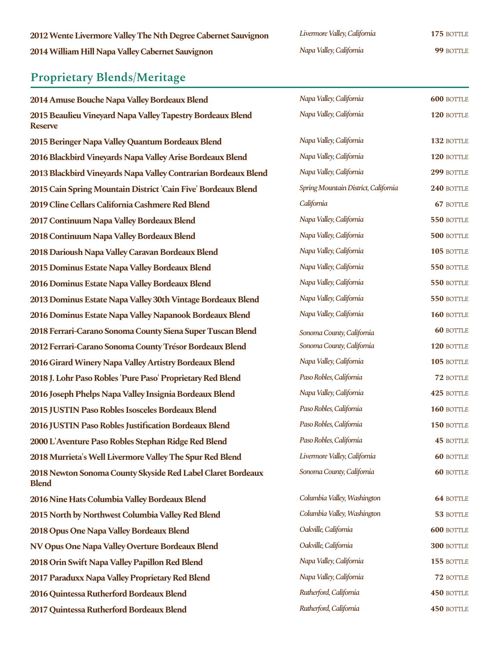#### **Proprietary Blends/Meritage**

**2014 Amuse Bouche Napa Valley Bordeaux Blend 2015 Beaulieu Vineyard Napa Valley Tapestry Bordeaux Blend Reserve 2015 Beringer Napa Valley Quantum Bordeaux Blend 2016 Blackbird Vineyards Napa Valley Arise Bordeaux Blend 2013 Blackbird Vineyards Napa Valley Contrarian Bordeaux Blend 2015 Cain Spring Mountain District 'Cain Five' Bordeaux Blend 2019 Cline Cellars California Cashmere Red Blend 2017 Continuum Napa Valley Bordeaux Blend 2018 Continuum Napa Valley Bordeaux Blend 2018 Darioush Napa Valley Caravan Bordeaux Blend 2015 Dominus Estate Napa Valley Bordeaux Blend 2016 Dominus Estate Napa Valley Bordeaux Blend 2013 Dominus Estate Napa Valley 30th Vintage Bordeaux Blend 2016 Dominus Estate Napa Valley Napanook Bordeaux Blend 2018 Ferrari-Carano Sonoma County Siena Super Tuscan Blend 2012 Ferrari-Carano Sonoma County Trésor Bordeaux Blend 2016 Girard Winery Napa Valley Artistry Bordeaux Blend** 2018 J. Lohr Paso Robles 'Pure Paso' Proprietary Red Blend **2016 Joseph Phelps Napa Valley Insignia Bordeaux Blend 2015 JUSTIN Paso Robles Isosceles Bordeaux Blend 2016 JUSTIN Paso Robles Justification Bordeaux Blend** 2000 L'Aventure Paso Robles Stephan Ridge Red Blend **2018 Murrieta's Well Livermore Valley The Spur Red Blend 2018NewtonSonomaCountySkysideRedLabelClaretBordeaux Blend 2016 Nine Hats Columbia Valley Bordeaux Blend** 

**2015 North by Northwest Columbia Valley Red Blend 2018 Opus One Napa Valley Bordeaux Blend 600 California 600 600** BOTTLE **NV Opus One Napa Valley Overture Bordeaux Blend <b>1988 Called Convertible California** 300 BOTTLE **2018 Orin Swift Napa Valley Papillon Red Blend** Mapa Valley, California **155** BOTTLE **2017 Paraduxx Napa Valley Proprietary Red Blend 12 BOTTLE** *Napa Valley, California* **6 72 BOTTLE 2016 Quintessa Rutherford Bordeaux Blend 120 BOTTLE** *Rutherford, California* **450 BOTTLE 2017 Quintessa Rutherford Bordeaux Blend 120 BOTTLE 120 BOTTLE** *Rutherford, California* **450 BOTTLE** 

| Livermore Valley, California |  |
|------------------------------|--|
| Napa Valley, California      |  |

| Napa Valley, California              | <b>600 BOTTLE</b> |
|--------------------------------------|-------------------|
| Napa Valley, California              | $120$ BOTTLE      |
|                                      |                   |
| Napa Valley, California              | 132 BOTTLE        |
| Napa Valley, California              | 120 BOTTLE        |
| Napa Valley, California              | 299 BOTTLE        |
| Spring Mountain District, California | 240 BOTTLE        |
| California                           | <b>67 BOTTLE</b>  |
| Napa Valley, California              | 550 BOTTLE        |
| Napa Valley, California              | 500 BOTTLE        |
| Napa Valley, California              | 105 BOTTLE        |
| Napa Valley, California              | 550 BOTTLE        |
| Napa Valley, California              | 550 BOTTLE        |
| Napa Valley, California              | 550 BOTTLE        |
| Napa Valley, California              | 160 BOTTLE        |
| Sonoma County, California            | <b>60 BOTTLE</b>  |
| Sonoma County, California            | 120 BOTTLE        |
| Napa Valley, California              | 105 BOTTLE        |
| Paso Robles, California              | 72 BOTTLE         |
| Napa Valley, California              | 425 BOTTLE        |
| Paso Robles, California              | 160 BOTTLE        |
| Paso Robles, California              | 150 BOTTLE        |
| Paso Robles, California              | <b>45 BOTTLE</b>  |
| Livermore Valley, California         | <b>60 BOTTLE</b>  |
| Sonoma County, California            | <b>60 BOTTLE</b>  |
|                                      |                   |
| Columbia Valley, Washington          | <b>64 BOTTLE</b>  |
| Columbia Valley, Washington          | 53 BOTTLE         |

*Oakville,California Oakville,California*

*NapaValley,California NapaValley,California Rutherford,California Rutherford,California*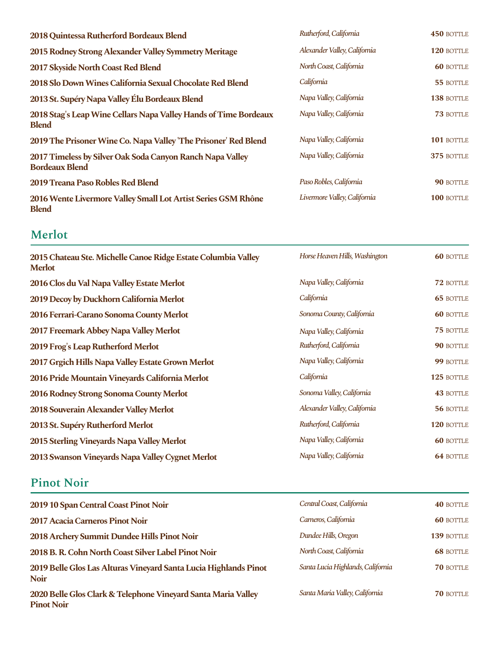| 2018 Quintessa Rutherford Bordeaux Blend                                           | Rutherford, California       | <b>450 BOTTLE</b> |
|------------------------------------------------------------------------------------|------------------------------|-------------------|
| 2015 Rodney Strong Alexander Valley Symmetry Meritage                              | Alexander Valley, California | 120 BOTTLE        |
| 2017 Skyside North Coast Red Blend                                                 | North Coast, California      | <b>60 BOTTLE</b>  |
| 2018 Slo Down Wines California Sexual Chocolate Red Blend                          | California                   | 55 BOTTLE         |
| 2013 St. Supéry Napa Valley Élu Bordeaux Blend                                     | Napa Valley, California      | 138 BOTTLE        |
| 2018 Stag's Leap Wine Cellars Napa Valley Hands of Time Bordeaux<br><b>Blend</b>   | Napa Valley, California      | <b>73 BOTTLE</b>  |
| 2019 The Prisoner Wine Co. Napa Valley 'The Prisoner' Red Blend                    | Napa Valley, California      | 101 BOTTLE        |
| 2017 Timeless by Silver Oak Soda Canyon Ranch Napa Valley<br><b>Bordeaux Blend</b> | Napa Valley, California      | 375 BOTTLE        |
| 2019 Treana Paso Robles Red Blend                                                  | Paso Robles, California      | <b>90 BOTTLE</b>  |
| 2016 Wente Livermore Valley Small Lot Artist Series GSM Rhône<br><b>Blend</b>      | Livermore Valley, California | 100 BOTTLE        |

### **Merlot**

| 2015 Chateau Ste. Michelle Canoe Ridge Estate Columbia Valley<br><b>Merlot</b> | Horse Heaven Hills, Washington | <b>60 BOTTLE</b> |
|--------------------------------------------------------------------------------|--------------------------------|------------------|
| 2016 Clos du Val Napa Valley Estate Merlot                                     | Napa Valley, California        | 72 BOTTLE        |
| 2019 Decoy by Duckhorn California Merlot                                       | California                     | <b>65 BOTTLE</b> |
| 2016 Ferrari-Carano Sonoma County Merlot                                       | Sonoma County, California      | <b>60 BOTTLE</b> |
| 2017 Freemark Abbey Napa Valley Merlot                                         | Napa Valley, California        | 75 BOTTLE        |
| 2019 Frog's Leap Rutherford Merlot                                             | Rutherford, California         | 90 BOTTLE        |
| 2017 Grgich Hills Napa Valley Estate Grown Merlot                              | Napa Valley, California        | 99 BOTTLE        |
| 2016 Pride Mountain Vineyards California Merlot                                | California                     | 125 BOTTLE       |
| 2016 Rodney Strong Sonoma County Merlot                                        | Sonoma Valley, California      | <b>43 BOTTLE</b> |
| 2018 Souverain Alexander Valley Merlot                                         | Alexander Valley, California   | 56 BOTTLE        |
| 2013 St. Supéry Rutherford Merlot                                              | Rutherford, California         | 120 BOTTLE       |
| 2015 Sterling Vineyards Napa Valley Merlot                                     | Napa Valley, California        | <b>60 BOTTLE</b> |
| 2013 Swanson Vineyards Napa Valley Cygnet Merlot                               | Napa Valley, California        | <b>64 BOTTLE</b> |

#### **Pinot Noir**

| 2019 10 Span Central Coast Pinot Noir                                              | Central Coast, California         | <b>40 BOTTLE</b> |
|------------------------------------------------------------------------------------|-----------------------------------|------------------|
| 2017 Acacia Carneros Pinot Noir                                                    | Carneros, California              | <b>60 BOTTLE</b> |
| 2018 Archery Summit Dundee Hills Pinot Noir                                        | Dundee Hills, Oregon              | 139 BOTTLE       |
| 2018 B. R. Cohn North Coast Silver Label Pinot Noir                                | North Coast, California           | <b>68 BOTTLE</b> |
| 2019 Belle Glos Las Alturas Vineyard Santa Lucia Highlands Pinot<br><b>Noir</b>    | Santa Lucia Highlands, California | <b>70 BOTTLE</b> |
| 2020 Belle Glos Clark & Telephone Vineyard Santa Maria Valley<br><b>Pinot Noir</b> | Santa Maria Valley, California    | <b>70 BOTTLE</b> |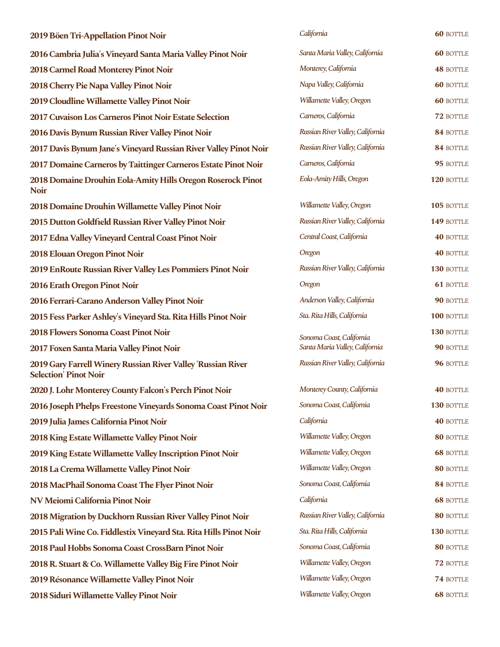| 2019 Böen Tri-Appellation Pinot Noir                                                         | California                       | <b>60 BOTTLE</b> |
|----------------------------------------------------------------------------------------------|----------------------------------|------------------|
| 2016 Cambria Julia's Vineyard Santa Maria Valley Pinot Noir                                  | Santa Maria Valley, California   | <b>60 BOTTLE</b> |
| 2018 Carmel Road Monterey Pinot Noir                                                         | Monterey, California             | <b>48 BOTTLE</b> |
| 2018 Cherry Pie Napa Valley Pinot Noir                                                       | Napa Valley, California          | <b>60 BOTTLE</b> |
| 2019 Cloudline Willamette Valley Pinot Noir                                                  | Willamette Valley, Oregon        | <b>60 BOTTLE</b> |
| 2017 Cuvaison Los Carneros Pinot Noir Estate Selection                                       | Carneros, California             | 72 BOTTLE        |
| 2016 Davis Bynum Russian River Valley Pinot Noir                                             | Russian River Valley, California | 84 BOTTLE        |
| 2017 Davis Bynum Jane's Vineyard Russian River Valley Pinot Noir                             | Russian River Valley, California | 84 BOTTLE        |
| 2017 Domaine Carneros by Taittinger Carneros Estate Pinot Noir                               | Carneros, California             | 95 BOTTLE        |
| 2018 Domaine Drouhin Eola-Amity Hills Oregon Roserock Pinot<br><b>Noir</b>                   | Eola-Amity Hills, Oregon         | 120 BOTTLE       |
| 2018 Domaine Drouhin Willamette Valley Pinot Noir                                            | Willamette Valley, Oregon        | 105 BOTTLE       |
| 2015 Dutton Goldfield Russian River Valley Pinot Noir                                        | Russian River Valley, California | 149 BOTTLE       |
| 2017 Edna Valley Vineyard Central Coast Pinot Noir                                           | Central Coast, California        | <b>40 BOTTLE</b> |
| 2018 Elouan Oregon Pinot Noir                                                                | Oregon                           | <b>40 BOTTLE</b> |
| 2019 EnRoute Russian River Valley Les Pommiers Pinot Noir                                    | Russian River Valley, California | 130 BOTTLE       |
| 2016 Erath Oregon Pinot Noir                                                                 | Oregon                           | <b>61 BOTTLE</b> |
| 2016 Ferrari-Carano Anderson Valley Pinot Noir                                               | Anderson Valley, California      | 90 BOTTLE        |
| 2015 Fess Parker Ashley's Vineyard Sta. Rita Hills Pinot Noir                                | Sta. Rita Hills, California      | 100 BOTTLE       |
| 2018 Flowers Sonoma Coast Pinot Noir                                                         | Sonoma Coast, California         | 130 BOTTLE       |
| 2017 Foxen Santa Maria Valley Pinot Noir                                                     | Santa Maria Valley, California   | 90 BOTTLE        |
| 2019 Gary Farrell Winery Russian River Valley 'Russian River<br><b>Selection' Pinot Noir</b> | Russian River Valley, California | 96 BOTTLE        |
| 2020 J. Lohr Monterey County Falcon's Perch Pinot Noir                                       | Monterey County, California      | <b>40 BOTTLE</b> |
| 2016 Joseph Phelps Freestone Vineyards Sonoma Coast Pinot Noir                               | Sonoma Coast, California         | 130 BOTTLE       |
| 2019 Julia James California Pinot Noir                                                       | California                       | <b>40 BOTTLE</b> |
| 2018 King Estate Willamette Valley Pinot Noir                                                | Willamette Valley, Oregon        | 80 BOTTLE        |
| 2019 King Estate Willamette Valley Inscription Pinot Noir                                    | Willamette Valley, Oregon        | <b>68 BOTTLE</b> |
| 2018 La Crema Willamette Valley Pinot Noir                                                   | Willamette Valley, Oregon        | 80 BOTTLE        |
| 2018 MacPhail Sonoma Coast The Flyer Pinot Noir                                              | Sonoma Coast, California         | 84 BOTTLE        |
| NV Meiomi California Pinot Noir                                                              | California                       | <b>68 BOTTLE</b> |
| 2018 Migration by Duckhorn Russian River Valley Pinot Noir                                   | Russian River Valley, California | 80 BOTTLE        |
| 2015 Pali Wine Co. Fiddlestix Vineyard Sta. Rita Hills Pinot Noir                            | Sta. Rita Hills, California      | 130 BOTTLE       |
| 2018 Paul Hobbs Sonoma Coast CrossBarn Pinot Noir                                            | Sonoma Coast, California         | 80 BOTTLE        |
| 2018 R. Stuart & Co. Willamette Valley Big Fire Pinot Noir                                   | Willamette Valley, Oregon        | 72 BOTTLE        |
| 2019 Résonance Willamette Valley Pinot Noir                                                  | Willamette Valley, Oregon        | 74 BOTTLE        |
| 2018 Siduri Willamette Valley Pinot Noir                                                     | Willamette Valley, Oregon        | <b>68 BOTTLE</b> |

|            | California                                                 | <b>60 BOTTLE</b>        |
|------------|------------------------------------------------------------|-------------------------|
|            | Santa Maria Valley, California                             | <b>60 BOTTLE</b>        |
|            | Monterey, California                                       | <b>48 BOTTLE</b>        |
|            | Napa Valley, California                                    | <b>60 BOTTLE</b>        |
|            | Willamette Valley, Oregon                                  | <b>60 BOTTLE</b>        |
|            | Carneros, California                                       | 72 BOTTLE               |
|            | Russian River Valley, California                           | 84 BOTTLE               |
| Joir       | Russian River Valley, California                           | 84 BOTTLE               |
| ir         | Carneros, California                                       | 95 BOTTLE               |
| ot         | Eola-Amity Hills, Oregon                                   | 120 BOTTLE              |
|            | Willamette Valley, Oregon                                  | 105 BOTTLE              |
|            | Russian River Valley, California                           | 149 BOTTLE              |
|            | Central Coast, California                                  | <b>40 BOTTLE</b>        |
|            | Oregon                                                     | <b>40 BOTTLE</b>        |
|            | Russian River Valley, California                           | 130 BOTTLE              |
|            | Oregon                                                     | <b>61 BOTTLE</b>        |
|            | Anderson Valley, California                                | <b>90 BOTTLE</b>        |
|            | Sta. Rita Hills, California                                | <b>100 BOTTLE</b>       |
|            | Sonoma Coast, California<br>Santa Maria Valley, California | 130 BOTTLE<br>90 BOTTLE |
|            | Russian River Valley, California                           | 96 BOTTLE               |
|            | Monterey County, California                                | <b>40 BOTTLE</b>        |
| <b>oir</b> | Sonoma Coast, California                                   | 130 BOTTLE              |
|            | California                                                 | <b>40 BOTTLE</b>        |
|            | Willamette Valley, Oregon                                  | 80 BOTTLE               |
|            | Willamette Valley, Oregon                                  | <b>68 BOTTLE</b>        |
|            | Willamette Valley, Oregon                                  | 80 BOTTLE               |
|            | Sonoma Coast, California                                   | 84 BOTTLE               |
|            | California                                                 | <b>68 BOTTLE</b>        |
|            | Russian River Valley, California                           | 80 BOTTLE               |
| ir         | Sta. Rita Hills, California                                | 130 BOTTLE              |
|            | Sonoma Coast, California                                   | 80 BOTTLE               |
|            | Willamette Valley, Oregon                                  | 72 BOTTLE               |
|            | Willamette Valley, Oregon                                  | 74 BOTTLE               |
|            | Willamette Valley, Oregon                                  | <b>68 BOTTLE</b>        |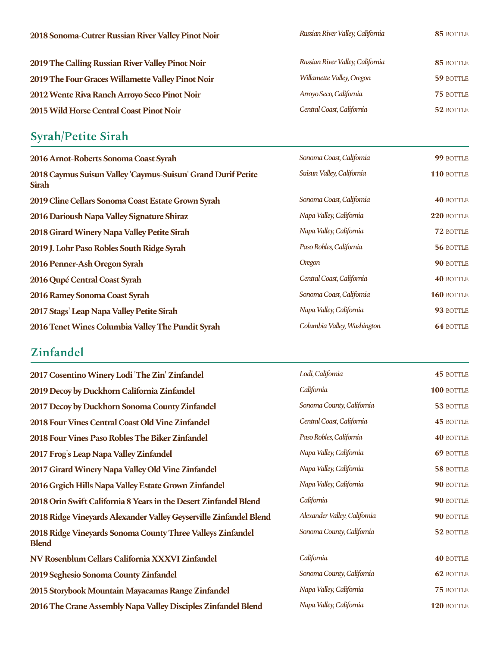| 2018 Sonoma-Cutrer Russian River Valley Pinot Noir | Russian River Valley, California | 85 BOTTLE |
|----------------------------------------------------|----------------------------------|-----------|
| 2019 The Calling Russian River Valley Pinot Noir   | Russian River Valley, California | 85 BOTTLE |
| 2019 The Four Graces Willamette Valley Pinot Noir  | Willamette Valley, Oregon        | 59 BOTTLE |
| 2012 Wente Riva Ranch Arroyo Seco Pinot Noir       | Arroyo Seco, California          | 75 BOTTLE |
| 2015 Wild Horse Central Coast Pinot Noir           | Central Coast, California        | 52 BOTTLE |

# **Syrah/Petite Sirah**

| 2016 Arnot-Roberts Sonoma Coast Syrah                                        | Sonoma Coast, California    | 99 BOTTLE        |
|------------------------------------------------------------------------------|-----------------------------|------------------|
| 2018 Caymus Suisun Valley 'Caymus-Suisun' Grand Durif Petite<br><b>Sirah</b> | Suisun Valley, California   | 110 BOTTLE       |
| 2019 Cline Cellars Sonoma Coast Estate Grown Syrah                           | Sonoma Coast, California    | <b>40 BOTTLE</b> |
| 2016 Darioush Napa Valley Signature Shiraz                                   | Napa Valley, California     | 220 BOTTLE       |
| 2018 Girard Winery Napa Valley Petite Sirah                                  | Napa Valley, California     | 72 BOTTLE        |
| 2019 J. Lohr Paso Robles South Ridge Syrah                                   | Paso Robles, California     | 56 BOTTLE        |
| 2016 Penner-Ash Oregon Syrah                                                 | Oregon                      | 90 BOTTLE        |
| 2016 Qupé Central Coast Syrah                                                | Central Coast, California   | <b>40 BOTTLE</b> |
| 2016 Ramey Sonoma Coast Syrah                                                | Sonoma Coast, California    | 160 BOTTLE       |
| 2017 Stags' Leap Napa Valley Petite Sirah                                    | Napa Valley, California     | 93 BOTTLE        |
| 2016 Tenet Wines Columbia Valley The Pundit Syrah                            | Columbia Valley, Washington | <b>64 BOTTLE</b> |

### **Zinfandel**

| 2017 Cosentino Winery Lodi 'The Zin' Zinfandel                             | Lodi, California             | <b>45 BOTTLE</b> |
|----------------------------------------------------------------------------|------------------------------|------------------|
| 2019 Decoy by Duckhorn California Zinfandel                                | California                   | 100 BOTTLE       |
| 2017 Decoy by Duckhorn Sonoma County Zinfandel                             | Sonoma County, California    | 53 BOTTLE        |
| <b>2018 Four Vines Central Coast Old Vine Zinfandel</b>                    | Central Coast, California    | <b>45 BOTTLE</b> |
| 2018 Four Vines Paso Robles The Biker Zinfandel                            | Paso Robles, California      | <b>40 BOTTLE</b> |
| 2017 Frog's Leap Napa Valley Zinfandel                                     | Napa Valley, California      | 69 BOTTLE        |
| 2017 Girard Winery Napa Valley Old Vine Zinfandel                          | Napa Valley, California      | 58 BOTTLE        |
| 2016 Grgich Hills Napa Valley Estate Grown Zinfandel                       | Napa Valley, California      | 90 BOTTLE        |
| 2018 Orin Swift California 8 Years in the Desert Zinfandel Blend           | California                   | 90 BOTTLE        |
| 2018 Ridge Vineyards Alexander Valley Geyserville Zinfandel Blend          | Alexander Valley, California | 90 BOTTLE        |
| 2018 Ridge Vineyards Sonoma County Three Valleys Zinfandel<br><b>Blend</b> | Sonoma County, California    | 52 BOTTLE        |
| NV Rosenblum Cellars California XXXVI Zinfandel                            | California                   | <b>40 BOTTLE</b> |
| 2019 Seghesio Sonoma County Zinfandel                                      | Sonoma County, California    | 62 BOTTLE        |
| 2015 Storybook Mountain Mayacamas Range Zinfandel                          | Napa Valley, California      | 75 BOTTLE        |
| 2016 The Crane Assembly Napa Valley Disciples Zinfandel Blend              | Napa Valley, California      | 120 BOTTLE       |

| Lodi, California                                                                                                                                                                                                                                                                                                                   | <b>45 BOTTLE</b> |
|------------------------------------------------------------------------------------------------------------------------------------------------------------------------------------------------------------------------------------------------------------------------------------------------------------------------------------|------------------|
| California                                                                                                                                                                                                                                                                                                                         | 100 BOTTLE       |
| Sonoma County, California                                                                                                                                                                                                                                                                                                          | 53 BOTTLE        |
| Central Coast, California                                                                                                                                                                                                                                                                                                          | <b>45 BOTTLE</b> |
| Paso Robles, California                                                                                                                                                                                                                                                                                                            | <b>40 BOTTLE</b> |
| Napa Valley, California                                                                                                                                                                                                                                                                                                            | <b>69 BOTTLE</b> |
| Napa Valley, California                                                                                                                                                                                                                                                                                                            | 58 BOTTLE        |
| Napa Valley, California                                                                                                                                                                                                                                                                                                            | 90 BOTTLE        |
| California                                                                                                                                                                                                                                                                                                                         | 90 BOTTLE        |
| Alexander Valley, California                                                                                                                                                                                                                                                                                                       | 90 BOTTLE        |
| Sonoma County, California                                                                                                                                                                                                                                                                                                          | 52 BOTTLE        |
| California                                                                                                                                                                                                                                                                                                                         | <b>40 BOTTLE</b> |
| Sonoma County, California                                                                                                                                                                                                                                                                                                          | <b>62 BOTTLE</b> |
| Napa Valley, California                                                                                                                                                                                                                                                                                                            | <b>75 BOTTLE</b> |
| $\mathbf{v}$ $\mathbf{v}$ $\mathbf{v}$ $\mathbf{v}$ $\mathbf{v}$ $\mathbf{v}$ $\mathbf{v}$ $\mathbf{v}$ $\mathbf{v}$ $\mathbf{v}$ $\mathbf{v}$ $\mathbf{v}$ $\mathbf{v}$ $\mathbf{v}$ $\mathbf{v}$ $\mathbf{v}$ $\mathbf{v}$ $\mathbf{v}$ $\mathbf{v}$ $\mathbf{v}$ $\mathbf{v}$ $\mathbf{v}$ $\mathbf{v}$ $\mathbf{v}$ $\mathbf{$ |                  |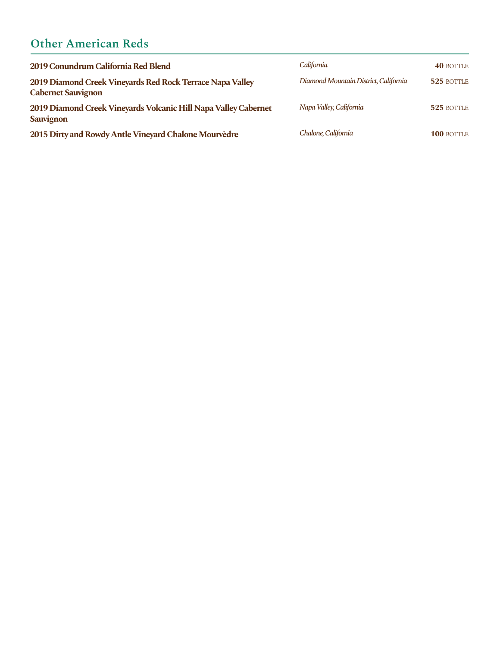# **Other American Reds**

| 2019 Conundrum California Red Blend                                                    | California                            | <b>40 BOTTLE</b>  |
|----------------------------------------------------------------------------------------|---------------------------------------|-------------------|
| 2019 Diamond Creek Vineyards Red Rock Terrace Napa Valley<br><b>Cabernet Sauvignon</b> | Diamond Mountain District, California | 525 BOTTLE        |
| 2019 Diamond Creek Vineyards Volcanic Hill Napa Valley Cabernet<br><b>Sauvignon</b>    | Napa Valley, California               | 525 BOTTLE        |
| 2015 Dirty and Rowdy Antle Vineyard Chalone Mourvedre                                  | Chalone, California                   | <b>100 BOTTLE</b> |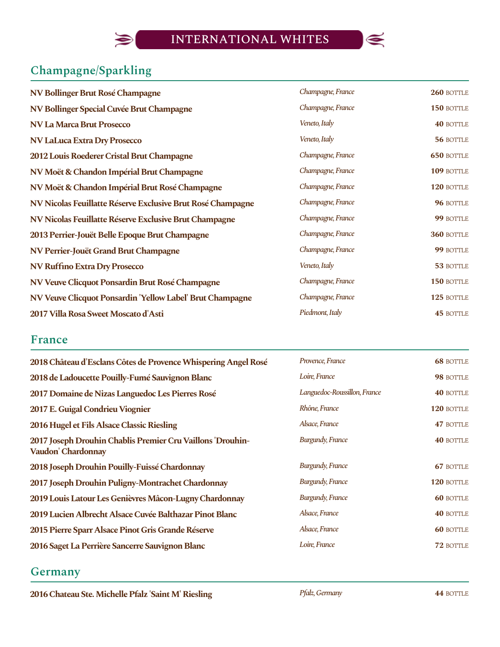

## **Champagne/Sparkling**

 $\blacktriangleright$ 

| NV Bollinger Brut Rosé Champagne                            | Champagne, France | 260 BOTTLE        |
|-------------------------------------------------------------|-------------------|-------------------|
| NV Bollinger Special Cuvée Brut Champagne                   | Champagne, France | 150 BOTTLE        |
| NV La Marca Brut Prosecco                                   | Veneto, Italy     | <b>40 BOTTLE</b>  |
| <b>NV LaLuca Extra Dry Prosecco</b>                         | Veneto, Italy     | 56 BOTTLE         |
| 2012 Louis Roederer Cristal Brut Champagne                  | Champagne, France | <b>650 BOTTLE</b> |
| NV Moët & Chandon Impérial Brut Champagne                   | Champagne, France | 109 BOTTLE        |
| NV Moët & Chandon Impérial Brut Rosé Champagne              | Champagne, France | 120 BOTTLE        |
| NV Nicolas Feuillatte Réserve Exclusive Brut Rosé Champagne | Champagne, France | 96 BOTTLE         |
| NV Nicolas Feuillatte Réserve Exclusive Brut Champagne      | Champagne, France | 99 BOTTLE         |
| 2013 Perrier-Jouët Belle Epoque Brut Champagne              | Champagne, France | 360 BOTTLE        |
| NV Perrier-Jouët Grand Brut Champagne                       | Champagne, France | 99 BOTTLE         |
| NV Ruffino Extra Dry Prosecco                               | Veneto, Italy     | 53 BOTTLE         |
| NV Veuve Clicquot Ponsardin Brut Rosé Champagne             | Champagne, France | 150 BOTTLE        |
| NV Veuve Clicquot Ponsardin 'Yellow Label' Brut Champagne   | Champagne, France | 125 BOTTLE        |
| 2017 Villa Rosa Sweet Moscato d'Asti                        | Piedmont, Italy   | <b>45 BOTTLE</b>  |

#### **France**

| 2018 Château d'Esclans Côtes de Provence Whispering Angel Rosé                   | Provence, France             | <b>68 BOTTLE</b> |
|----------------------------------------------------------------------------------|------------------------------|------------------|
| 2018 de Ladoucette Pouilly-Fumé Sauvignon Blanc                                  | Loire, France                | 98 BOTTLE        |
| 2017 Domaine de Nizas Languedoc Les Pierres Rosé                                 | Languedoc-Roussillon, France | <b>40 BOTTLE</b> |
| 2017 E. Guigal Condrieu Viognier                                                 | Rhône, France                | 120 BOTTLE       |
| 2016 Hugel et Fils Alsace Classic Riesling                                       | Alsace, France               | 47 BOTTLE        |
| 2017 Joseph Drouhin Chablis Premier Cru Vaillons 'Drouhin-<br>Vaudon' Chardonnay | <b>Burgundy, France</b>      | <b>40 BOTTLE</b> |
| 2018 Joseph Drouhin Pouilly-Fuissé Chardonnay                                    | <b>Burgundy, France</b>      | <b>67 BOTTLE</b> |
| 2017 Joseph Drouhin Puligny-Montrachet Chardonnay                                | <b>Burgundy, France</b>      | 120 BOTTLE       |
| 2019 Louis Latour Les Genièvres Mâcon-Lugny Chardonnay                           | <b>Burgundy, France</b>      | <b>60 BOTTLE</b> |
| 2019 Lucien Albrecht Alsace Cuvée Balthazar Pinot Blanc                          | Alsace, France               | <b>40 BOTTLE</b> |
| 2015 Pierre Sparr Alsace Pinot Gris Grande Réserve                               | Alsace, France               | <b>60 BOTTLE</b> |
| 2016 Saget La Perrière Sancerre Sauvignon Blanc                                  | Loire, France                | 72 BOTTLE        |

#### **Germany**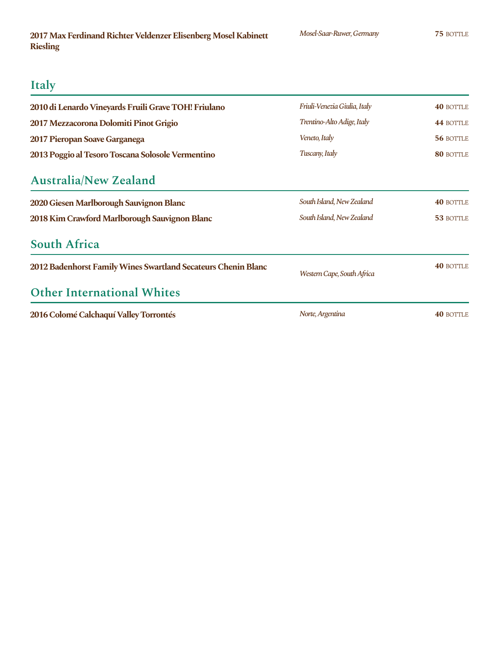### **Italy**

| 2010 di Lenardo Vineyards Fruili Grave TOH! Friulano          | Friuli-Venezia Giulia, Italy | <b>40 BOTTLE</b> |
|---------------------------------------------------------------|------------------------------|------------------|
| 2017 Mezzacorona Dolomiti Pinot Grigio                        | Trentino-Alto Adige, Italy   | 44 BOTTLE        |
| 2017 Pieropan Soave Garganega                                 | Veneto, Italy                | 56 BOTTLE        |
| 2013 Poggio al Tesoro Toscana Solosole Vermentino             | Tuscany, Italy               | 80 BOTTLE        |
| <b>Australia/New Zealand</b>                                  |                              |                  |
| 2020 Giesen Marlborough Sauvignon Blanc                       | South Island, New Zealand    | <b>40 BOTTLE</b> |
| 2018 Kim Crawford Marlborough Sauvignon Blanc                 | South Island, New Zealand    | 53 BOTTLE        |
| <b>South Africa</b>                                           |                              |                  |
| 2012 Badenhorst Family Wines Swartland Secateurs Chenin Blanc | Western Cape, South Africa   | <b>40 BOTTLE</b> |
| <b>Other International Whites</b>                             |                              |                  |
| 2016 Colomé Calchaquí Valley Torrontés                        | Norte, Argentina             | <b>40 BOTTLE</b> |

*Mosel-Saar-Ruwer,Germany*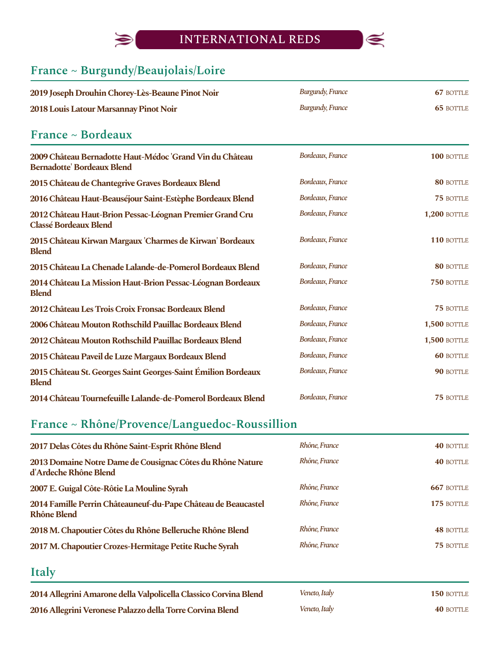## INTERNATIONAL REDS



# **France ~ Burgundy/Beaujolais/Loire**

 $\bigcirc$ 

| 2019 Joseph Drouhin Chorey-Lès-Beaune Pinot Noir                                              | <b>Burgundy, France</b>  | <b>67 BOTTLE</b>    |
|-----------------------------------------------------------------------------------------------|--------------------------|---------------------|
| 2018 Louis Latour Marsannay Pinot Noir                                                        | <b>Burgundy</b> , France | <b>65 BOTTLE</b>    |
| France ~ Bordeaux                                                                             |                          |                     |
| 2009 Château Bernadotte Haut-Médoc 'Grand Vin du Château<br><b>Bernadotte' Bordeaux Blend</b> | Bordeaux, France         | 100 BOTTLE          |
| 2015 Château de Chantegrive Graves Bordeaux Blend                                             | Bordeaux, France         | 80 BOTTLE           |
| 2016 Château Haut-Beauséjour Saint-Estèphe Bordeaux Blend                                     | Bordeaux, France         | 75 BOTTLE           |
| 2012 Château Haut-Brion Pessac-Léognan Premier Grand Cru<br><b>Classé Bordeaux Blend</b>      | Bordeaux, France         | <b>1,200 BOTTLE</b> |
| 2015 Château Kirwan Margaux 'Charmes de Kirwan' Bordeaux<br><b>Blend</b>                      | Bordeaux, France         | 110 BOTTLE          |
| 2015 Château La Chenade Lalande-de-Pomerol Bordeaux Blend                                     | Bordeaux, France         | 80 BOTTLE           |
| 2014 Château La Mission Haut-Brion Pessac-Léognan Bordeaux<br><b>Blend</b>                    | Bordeaux, France         | 750 BOTTLE          |
| 2012 Château Les Trois Croix Fronsac Bordeaux Blend                                           | Bordeaux, France         | <b>75 BOTTLE</b>    |
| 2006 Château Mouton Rothschild Pauillac Bordeaux Blend                                        | Bordeaux, France         | <b>1,500 BOTTLE</b> |
| 2012 Château Mouton Rothschild Pauillac Bordeaux Blend                                        | Bordeaux, France         | <b>1,500 BOTTLE</b> |
| 2015 Château Paveil de Luze Margaux Bordeaux Blend                                            | Bordeaux, France         | <b>60 BOTTLE</b>    |
| 2015 Château St. Georges Saint Georges-Saint Émilion Bordeaux<br><b>Blend</b>                 | Bordeaux, France         | 90 BOTTLE           |
| 2014 Château Tournefeuille Lalande-de-Pomerol Bordeaux Blend                                  | Bordeaux, France         | 75 BOTTLE           |

# **France ~ Rhône/Provence/Languedoc-Roussillion**

| 2017 Delas Côtes du Rhône Saint-Esprit Rhône Blend                                  | Rhône, France | <b>40 BOTTLE</b> |
|-------------------------------------------------------------------------------------|---------------|------------------|
| 2013 Domaine Notre Dame de Cousignac Côtes du Rhône Nature<br>d'Ardeche Rhône Blend | Rhône, France | <b>40 BOTTLE</b> |
| 2007 E. Guigal Côte-Rôtie La Mouline Syrah                                          | Rhône, France | 667 BOTTLE       |
| 2014 Famille Perrin Châteauneuf-du-Pape Château de Beaucastel<br><b>Rhône Blend</b> | Rhône, France | 175 BOTTLE       |
| 2018 M. Chapoutier Côtes du Rhône Belleruche Rhône Blend                            | Rhône, France | <b>48 BOTTLE</b> |
| 2017 M. Chapoutier Crozes-Hermitage Petite Ruche Syrah                              | Rhône, France | <b>75 BOTTLE</b> |

#### **Italy**

| 2014 Allegrini Amarone della Valpolicella Classico Corvina Blend | Veneto, Italy | <b>150 BOTTLE</b> |
|------------------------------------------------------------------|---------------|-------------------|
| 2016 Allegrini Veronese Palazzo della Torre Corvina Blend        | Veneto, Italy | <b>40 BOTTLE</b>  |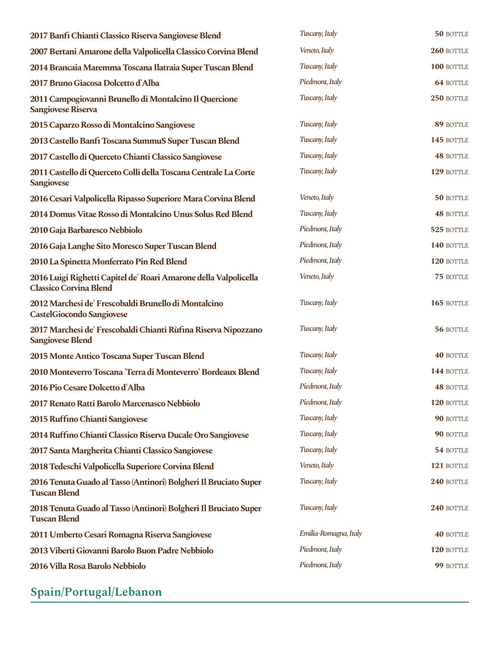| 2017 Banfi Chianti Classico Riserva Sangiovese Blend                                              | Tuscany, Italy        | 50 BOTTLE        |
|---------------------------------------------------------------------------------------------------|-----------------------|------------------|
| 2007 Bertani Amarone della Valpolicella Classico Corvina Blend                                    | Veneto, Italy         | 260 BOTTLE       |
| 2014 Brancaia Maremma Toscana Ilatraia Super Tuscan Blend                                         | Tuscany, Italy        | 100 BOTTLE       |
| 2017 Bruno Giacosa Dolcetto d'Alba                                                                | Piedmont, Italy       | <b>64 BOTTLE</b> |
| 2011 Campogiovanni Brunello di Montalcino Il Quercione<br><b>Sangiovese Riserva</b>               | Tuscany, Italy        | 250 BOTTLE       |
| 2015 Caparzo Rosso di Montalcino Sangiovese                                                       | Tuscany, Italy        | 89 BOTTLE        |
| 2013 Castello Banfi Toscana SummuS Super Tuscan Blend                                             | Tuscany, Italy        | 145 BOTTLE       |
| 2017 Castello di Querceto Chianti Classico Sangiovese                                             | Tuscany, Italy        | <b>48 BOTTLE</b> |
| 2011 Castello di Querceto Colli della Toscana Centrale La Corte<br><b>Sangiovese</b>              | Tuscany, Italy        | 129 BOTTLE       |
| 2016 Cesari Valpolicella Ripasso Superiore Mara Corvina Blend                                     | Veneto, Italy         | 50 BOTTLE        |
| 2014 Domus Vitae Rosso di Montalcino Unus Solus Red Blend                                         | Tuscany, Italy        | <b>48 BOTTLE</b> |
| 2010 Gaja Barbaresco Nebbiolo                                                                     | Piedmont, Italy       | 525 BOTTLE       |
| 2016 Gaja Langhe Sito Moresco Super Tuscan Blend                                                  | Piedmont, Italy       | 140 BOTTLE       |
| 2010 La Spinetta Monferrato Pin Red Blend                                                         | Piedmont, Italy       | 120 BOTTLE       |
| 2016 Luigi Righetti Capitel de' Roari Amarone della Valpolicella<br><b>Classico Corvina Blend</b> | Veneto, Italy         | 75 BOTTLE        |
| 2012 Marchesi de' Frescobaldi Brunello di Montalcino<br><b>CastelGiocondo Sangiovese</b>          | Tuscany, Italy        | 165 BOTTLE       |
| 2017 Marchesi de' Frescobaldi Chianti Rùfina Riserva Nipozzano<br><b>Sangiovese Blend</b>         | Tuscany, Italy        | 56 BOTTLE        |
| 2015 Monte Antico Toscana Super Tuscan Blend                                                      | Tuscany, Italy        | <b>40 BOTTLE</b> |
| 2010 Monteverro Toscana 'Terra di Monteverro' Bordeaux Blend                                      | Tuscany, Italy        | 144 BOTTLE       |
| 2016 Pio Cesare Dolcetto d'Alba                                                                   | Piedmont, Italy       | <b>48 BOTTLE</b> |
| 2017 Renato Ratti Barolo Marcenasco Nebbiolo                                                      | Piedmont, Italy       | 120 BOTTLE       |
| 2015 Ruffino Chianti Sangiovese                                                                   | Tuscany, Italy        | 90 BOTTLE        |
| 2014 Ruffino Chianti Classico Riserva Ducale Oro Sangiovese                                       | Tuscany, Italy        | 90 BOTTLE        |
| 2017 Santa Margherita Chianti Classico Sangiovese                                                 | Tuscany, Italy        | 54 BOTTLE        |
| 2018 Tedeschi Valpolicella Superiore Corvina Blend                                                | Veneto, Italy         | 121 BOTTLE       |
| 2016 Tenuta Guado al Tasso (Antinori) Bolgheri Il Bruciato Super<br><b>Tuscan Blend</b>           | Tuscany, Italy        | 240 BOTTLE       |
| 2018 Tenuta Guado al Tasso (Antinori) Bolgheri Il Bruciato Super<br><b>Tuscan Blend</b>           | Tuscany, Italy        | 240 BOTTLE       |
| 2011 Umberto Cesari Romagna Riserva Sangiovese                                                    | Emilia-Romagna, Italy | <b>40 BOTTLE</b> |
| 2013 Viberti Giovanni Barolo Buon Padre Nebbiolo                                                  | Piedmont, Italy       | 120 BOTTLE       |
| 2016 Villa Rosa Barolo Nebbiolo                                                                   | Piedmont, Italy       | 99 BOTTLE        |

# **Spain/Portugal/Lebanon**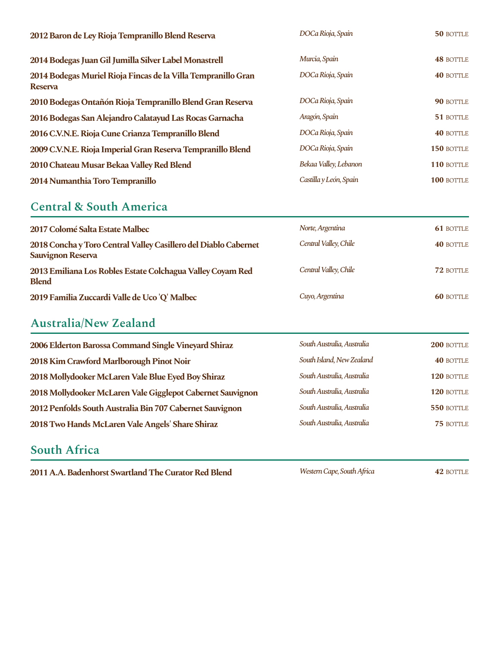| 2012 Baron de Ley Rioja Tempranillo Blend Reserva                               | DOCa Rioja, Spain      | 50 BOTTLE        |
|---------------------------------------------------------------------------------|------------------------|------------------|
| 2014 Bodegas Juan Gil Jumilla Silver Label Monastrell                           | Murcia, Spain          | <b>48 BOTTLE</b> |
| 2014 Bodegas Muriel Rioja Fincas de la Villa Tempranillo Gran<br><b>Reserva</b> | DOCa Rioja, Spain      | <b>40 BOTTLE</b> |
| 2010 Bodegas Ontañón Rioja Tempranillo Blend Gran Reserva                       | DOCa Rioja, Spain      | 90 BOTTLE        |
| 2016 Bodegas San Alejandro Calatayud Las Rocas Garnacha                         | Aragón, Spain          | 51 BOTTLE        |
| 2016 C.V.N.E. Rioja Cune Crianza Tempranillo Blend                              | DOCa Rioja, Spain      | <b>40 BOTTLE</b> |
| 2009 C.V.N.E. Rioja Imperial Gran Reserva Tempranillo Blend                     | DOCa Rioja, Spain      | 150 BOTTLE       |
| 2010 Chateau Musar Bekaa Valley Red Blend                                       | Bekaa Valley, Lebanon  | 110 BOTTLE       |
| 2014 Numanthia Toro Tempranillo                                                 | Castilla y León, Spain | 100 BOTTLE       |

#### **Central & South America**

| 2017 Colomé Salta Estate Malbec                                                             | Norte, Argentina      | <b>61 BOTTLE</b> |
|---------------------------------------------------------------------------------------------|-----------------------|------------------|
| 2018 Concha y Toro Central Valley Casillero del Diablo Cabernet<br><b>Sauvignon Reserva</b> | Central Valley, Chile | <b>40 BOTTLE</b> |
| 2013 Emiliana Los Robles Estate Colchagua Valley Coyam Red<br><b>Blend</b>                  | Central Valley, Chile | 72 BOTTLE        |
| 2019 Familia Zuccardi Valle de Uco 'Q' Malbec                                               | Cuyo, Argentina       | <b>60 BOTTLE</b> |

## **Australia/New Zealand**

| 2006 Elderton Barossa Command Single Vineyard Shiraz       | South Australia, Australia | 200 BOTTLE       |
|------------------------------------------------------------|----------------------------|------------------|
| 2018 Kim Crawford Marlborough Pinot Noir                   | South Island, New Zealand  | <b>40 BOTTLE</b> |
| 2018 Mollydooker McLaren Vale Blue Eyed Boy Shiraz         | South Australia, Australia | 120 BOTTLE       |
| 2018 Mollydooker McLaren Vale Gigglepot Cabernet Sauvignon | South Australia, Australia | 120 BOTTLE       |
| 2012 Penfolds South Australia Bin 707 Cabernet Sauvignon   | South Australia, Australia | 550 BOTTLE       |
| 2018 Two Hands McLaren Vale Angels' Share Shiraz           | South Australia, Australia | 75 BOTTLE        |

#### **South Africa**

**2011 A.A. Badenhorst Swartland The Curator Red Blend** Western Cape, South Africa 42 BOTTLE

*WesternCape,SouthAfrica*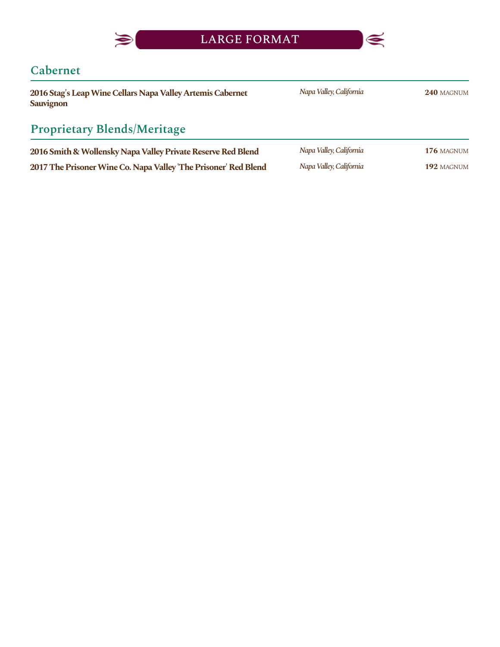

#### **Cabernet**

 $\blacktriangleright$ 

| 2016 Stag's Leap Wine Cellars Napa Valley Artemis Cabernet<br><b>Sauvignon</b> | Napa Valley, California | 240 MAGNUM |
|--------------------------------------------------------------------------------|-------------------------|------------|
| <b>Proprietary Blends/Meritage</b>                                             |                         |            |
| 2016 Smith & Wollensky Napa Valley Private Reserve Red Blend                   | Napa Valley, California | 176 MAGNUM |
| 2017 The Prisoner Wine Co. Napa Valley 'The Prisoner' Red Blend                | Napa Valley, California | 192 MAGNUM |